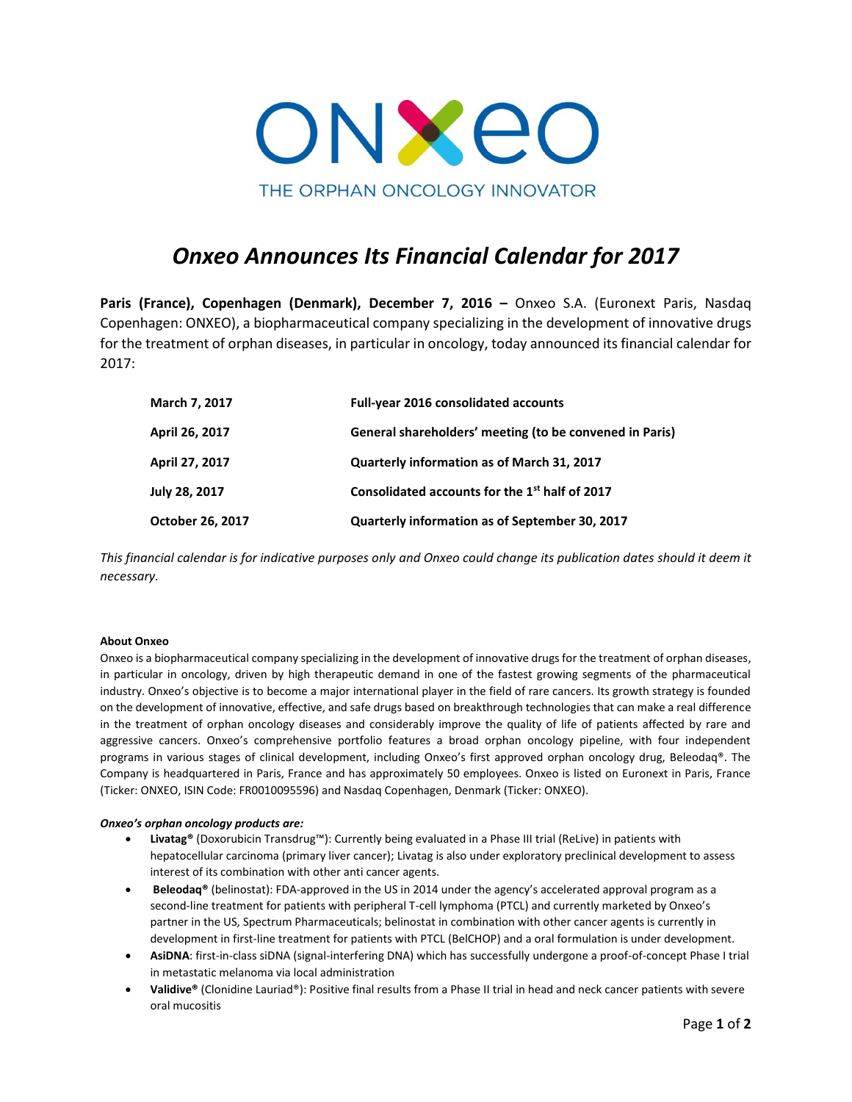

# *Onxeo Announces Its Financial Calendar for 2017*

Paris (France), Copenhagen (Denmark), December 7, 2016 - Onxeo S.A. (Euronext Paris, Nasdaq Copenhagen: ONXEO), a biopharmaceutical company specializing in the development of innovative drugs for the treatment of orphan diseases, in particular in oncology, today announced its financial calendar for 2017:

| March 7, 2017    | <b>Full-year 2016 consolidated accounts</b>                |
|------------------|------------------------------------------------------------|
| April 26, 2017   | General shareholders' meeting (to be convened in Paris)    |
| April 27, 2017   | Quarterly information as of March 31, 2017                 |
| July 28, 2017    | Consolidated accounts for the 1 <sup>st</sup> half of 2017 |
| October 26, 2017 | Quarterly information as of September 30, 2017             |

*This financial calendar is for indicative purposes only and Onxeo could change its publication dates should it deem it necessary.*

## **About Onxeo**

Onxeo is a biopharmaceutical company specializing in the development of innovative drugs for the treatment of orphan diseases, in particular in oncology, driven by high therapeutic demand in one of the fastest growing segments of the pharmaceutical industry. Onxeo's objective is to become a major international player in the field of rare cancers. Its growth strategy is founded on the development of innovative, effective, and safe drugs based on breakthrough technologies that can make a real difference in the treatment of orphan oncology diseases and considerably improve the quality of life of patients affected by rare and aggressive cancers. Onxeo's comprehensive portfolio features a broad orphan oncology pipeline, with four independent programs in various stages of clinical development, including Onxeo's first approved orphan oncology drug, Beleodaq®. The Company is headquartered in Paris, France and has approximately 50 employees. Onxeo is listed on Euronext in Paris, France (Ticker: ONXEO, ISIN Code: FR0010095596) and Nasdaq Copenhagen, Denmark (Ticker: ONXEO).

## *Onxeo's orphan oncology products are:*

- **Livatag®** (Doxorubicin Transdrug™): Currently being evaluated in a Phase III trial (ReLive) in patients with hepatocellular carcinoma (primary liver cancer); Livatag is also under exploratory preclinical development to assess interest of its combination with other anti cancer agents.
- **Beleodaq®** (belinostat): FDA-approved in the US in 2014 under the agency's accelerated approval program as a second-line treatment for patients with peripheral T-cell lymphoma (PTCL) and currently marketed by Onxeo's partner in the US, Spectrum Pharmaceuticals; belinostat in combination with other cancer agents is currently in development in first-line treatment for patients with PTCL (BelCHOP) and a oral formulation is under development.
- **AsiDNA**: first-in-class siDNA (signal-interfering DNA) which has successfully undergone a proof-of-concept Phase I trial in metastatic melanoma via local administration
- **Validive®** (Clonidine Lauriad®): Positive final results from a Phase II trial in head and neck cancer patients with severe oral mucositis